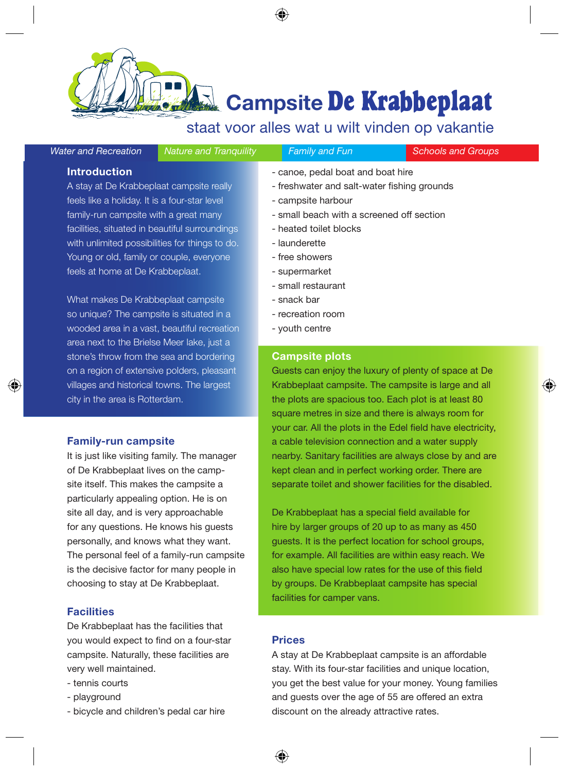**Campsite De Krabbeplaat** 

# staat voor alles wat u wilt vinden op vakantie

| Vater and Recreation |  |  |  |
|----------------------|--|--|--|
|----------------------|--|--|--|

*Water and Recreation Nature and Tranquility Family and Fun Schools and Groups*

◈

## **Introduction**

A stay at De Krabbeplaat campsite really feels like a holiday. It is a four-star level family-run campsite with a great many facilities, situated in beautiful surroundings with unlimited possibilities for things to do. Young or old, family or couple, everyone feels at home at De Krabbeplaat.

What makes De Krabbeplaat campsite so unique? The campsite is situated in a wooded area in a vast, beautiful recreation area next to the Brielse Meer lake, just a stone's throw from the sea and bordering on a region of extensive polders, pleasant villages and historical towns. The largest city in the area is Rotterdam.

#### **Family-run campsite**

◈

It is just like visiting family. The manager of De Krabbeplaat lives on the campsite itself. This makes the campsite a particularly appealing option. He is on site all day, and is very approachable for any questions. He knows his guests personally, and knows what they want. The personal feel of a family-run campsite is the decisive factor for many people in choosing to stay at De Krabbeplaat.

## **Facilities**

De Krabbeplaat has the facilities that you would expect to find on a four-star campsite. Naturally, these facilities are very well maintained.

- tennis courts
- playground
- bicycle and children's pedal car hire
- canoe, pedal boat and boat hire
- freshwater and salt-water fishing grounds
- campsite harbour
- small beach with a screened off section
- heated toilet blocks
- launderette
- free showers
- supermarket
- small restaurant
- snack bar
- recreation room
- youth centre

## **Campsite plots**

Guests can enjoy the luxury of plenty of space at De Krabbeplaat campsite. The campsite is large and all the plots are spacious too. Each plot is at least 80 square metres in size and there is always room for your car. All the plots in the Edel field have electricity, a cable television connection and a water supply nearby. Sanitary facilities are always close by and are kept clean and in perfect working order. There are separate toilet and shower facilities for the disabled.

De Krabbeplaat has a special field available for hire by larger groups of 20 up to as many as 450 guests. It is the perfect location for school groups, for example. All facilities are within easy reach. We also have special low rates for the use of this field by groups. De Krabbeplaat campsite has special facilities for camper vans.

## **Prices**

A stay at De Krabbeplaat campsite is an affordable stay. With its four-star facilities and unique location, you get the best value for your money. Young families and guests over the age of 55 are offered an extra discount on the already attractive rates.

⊕